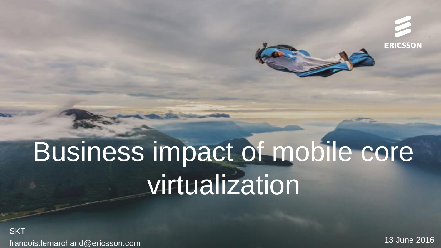**ERICSSON** 

# Business impact of mobile core virtualization

**SKT** francois.lemarchand@ericsson.com

13 June 2016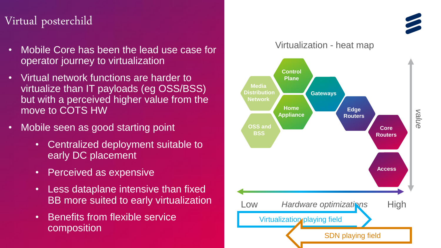### Virtual posterchild

- Mobile Core has been the lead use case for  $\bullet$ operator journey to virtualization
- Virtual network functions are harder to  $\bullet$ virtualize than IT payloads (eg OSS/BSS) but with a perceived higher value from the move to COTS HW
- Mobile seen as good starting point  $\bullet$ 
	- Centralized deployment suitable to  $\bullet$ early DC placement
	- Perceived as expensive  $\bullet$
	- Less dataplane intensive than fixed BB more suited to early virtualization
	- **Benefits from flexible service**  $\bullet$ composition

Virtualization - heat map **Control Plane Media** Distribution **Gateways Network Home Edge** value **Appliance Routers OSS and Core BSS Routers Access High** Hardware optimizations Low Virtualization playing field **SDN playing field**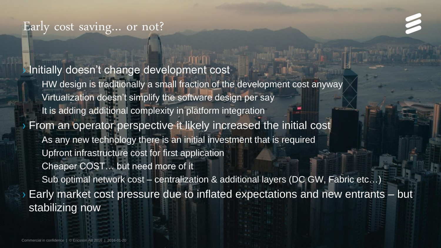### Early cost saving… or not?

› Initially doesn't change development cost

– HW design is traditionally a small fraction of the development cost anyway Virtualization doesn't simplify the software design per say It is adding additional complexity in platform integration › From an operator perspective it likely increased the initial cost As any new technology there is an initial investment that is required

– Upfront infrastructure cost for first application

Cheaper COST... but need more of it

– Sub optimal network cost – centralization & additional layers (DC GW, Fabric etc…)

› Early market cost pressure due to inflated expectations and new entrants – but stabilizing now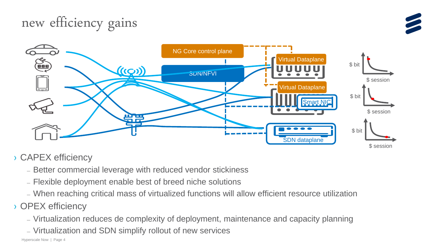# new efficiency gains





### > CAPEX efficiency

- Better commercial leverage with reduced vendor stickiness
- Flexible deployment enable best of breed niche solutions
- When reaching critical mass of virtualized functions will allow efficient resource utilization
- > OPEX efficiency
	- Virtualization reduces de complexity of deployment, maintenance and capacity planning
	- Virtualization and SDN simplify rollout of new services

Hyperscale Now | Page 4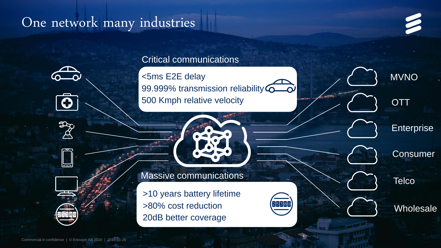## One network many industries



MVNO

**OTT** 

**Enterprise** 

**Consumer** 

**Wholesale** 

**Telco** 





 $\mathfrak{D}$  $\cancel{\beta}$ 

### Critical communications

<5ms E2E delay 99.999% transmission reliability  $\sigma$ 500 Kmph relative velocity



Massive communications

>10 years battery lifetime >80% cost reduction 20dB better coverage

Commercial in confidence | © Ericsson AB 2016 | 2016-01-20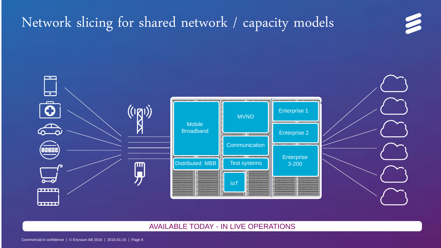## Network slicing for shared network / capacity models



3

#### AVAILABLE TODAY - IN LIVE OPERATIONS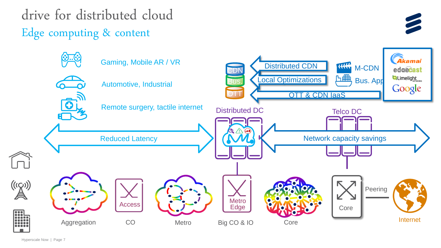drive for distributed cloud Edge computing & content



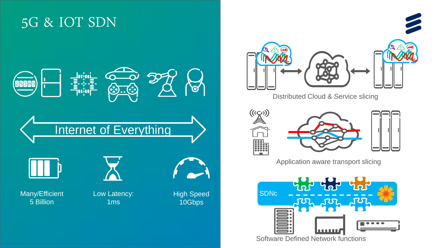### 5G & IOT SDN





**Distributed Cloud & Service slicing** 





Application aware transport slicing



Software Defined Network functions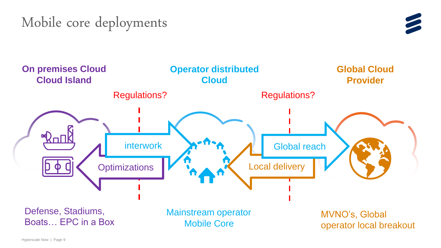# Mobile core deployments





Hyperscale Now | Page 9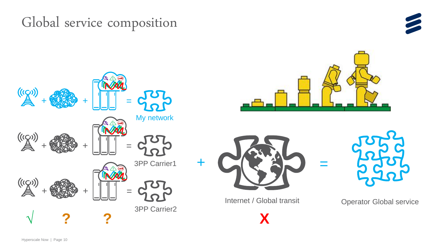Global service composition



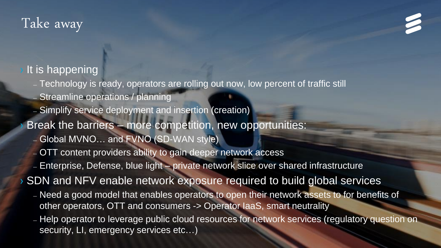## Take away



### It is happening

- Technology is ready, operators are rolling out now, low percent of traffic still
- Streamline operations / planning
- Simplify service deployment and insertion (creation)
- Break the barriers more competition, new opportunities:
	- Global MVNO… and FVNO (SD-WAN style)
	- OTT content providers ability to gain deeper network access
	- Enterprise, Defense, blue light private network slice over shared infrastructure

› SDN and NFV enable network exposure required to build global services

- Need a good model that enables operators to open their network assets to for benefits of other operators, OTT and consumers -> Operator IaaS, smart neutrality
- Help operator to leverage public cloud resources for network services (regulatory question on security, LI, emergency services etc...)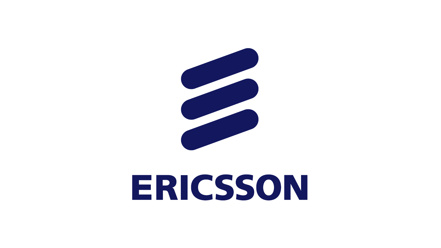

# ERICSSON